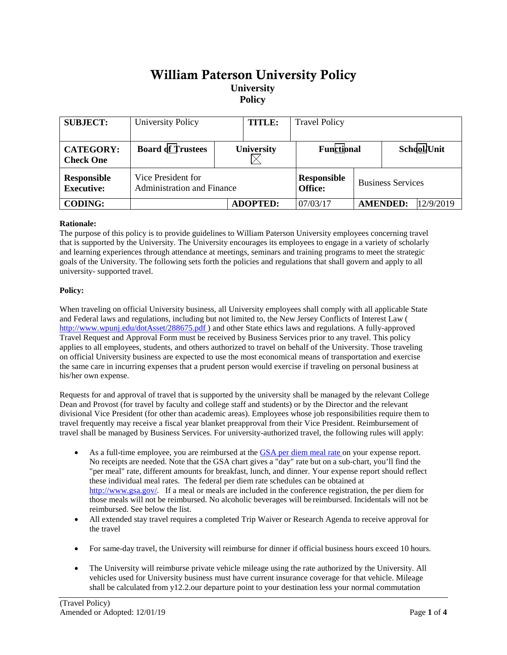# William Paterson University Policy **University Policy**

| <b>SUBJECT:</b>                         | University Policy                                       |  | <b>TITLE:</b>   | <b>Travel Policy</b>                 |                          |                 |           |
|-----------------------------------------|---------------------------------------------------------|--|-----------------|--------------------------------------|--------------------------|-----------------|-----------|
| <b>CATEGORY:</b><br><b>Check One</b>    | <b>Board of Trustees</b>                                |  | University      | Functional                           |                          | School/Unit     |           |
| <b>Responsible</b><br><b>Executive:</b> | Vice President for<br><b>Administration and Finance</b> |  |                 | <b>Responsible</b><br><b>Office:</b> | <b>Business Services</b> |                 |           |
| <b>CODING:</b>                          |                                                         |  | <b>ADOPTED:</b> | 07/03/17                             |                          | <b>AMENDED:</b> | 12/9/2019 |

### **Rationale:**

The purpose of this policy is to provide guidelines to William Paterson University employees concerning travel that is supported by the University. The University encourages its employees to engage in a variety of scholarly and learning experiences through attendance at meetings, seminars and training programs to meet the strategic goals of the University. The following sets forth the policies and regulations that shall govern and apply to all university- supported travel.

#### **Policy:**

When traveling on official University business, all University employees shall comply with all applicable State and Federal laws and regulations, including but not limited to, the New Jersey Conflicts of Interest Law ( [http://www.wpunj.edu/dotAsset/288675.pdf \)](http://www.wpunj.edu/dotAsset/288675.pdf) and other State ethics laws and regulations. A fully-approved Travel Request and Approval Form must be received by Business Services prior to any travel. This policy applies to all employees, students, and others authorized to travel on behalf of the University. Those traveling on official University business are expected to use the most economical means of transportation and exercise the same care in incurring expenses that a prudent person would exercise if traveling on personal business at his/her own expense.

Requests for and approval of travel that is supported by the university shall be managed by the relevant College Dean and Provost (for travel by faculty and college staff and students) or by the Director and the relevant divisional Vice President (for other than academic areas). Employees whose job responsibilities require them to travel frequently may receive a fiscal year blanket preapproval from their Vice President. Reimbursement of travel shall be managed by Business Services. For university-authorized travel, the following rules will apply:

- As a full-time employee, you are reimbursed at the [GSA per diem meal rate o](http://www.gsa.gov/portal/category/21287)n your expense report. No receipts are needed. Note that the GSA chart gives a "day" rate but on a sub-chart, you'll find the "per meal" rate, different amounts for breakfast, lunch, and dinner. Your expense report should reflect these individual meal rates. The federal per diem rate schedules can be obtained at [http://www.gsa.gov/.](http://www.gsa.gov/) If a meal or meals are included in the conference registration, the per diem for those meals will not be reimbursed. No alcoholic beverages will be reimbursed. Incidentals will not be reimbursed. See below the list.
- All extended stay travel requires a completed Trip Waiver or Research Agenda to receive approval for the travel
- For same-day travel, the University will reimburse for dinner if official business hours exceed 10 hours.
- The University will reimburse private vehicle mileage using the rate authorized by the University. All vehicles used for University business must have current insurance coverage for that vehicle. Mileage shall be calculated from y12.2.our departure point to your destination less your normal commutation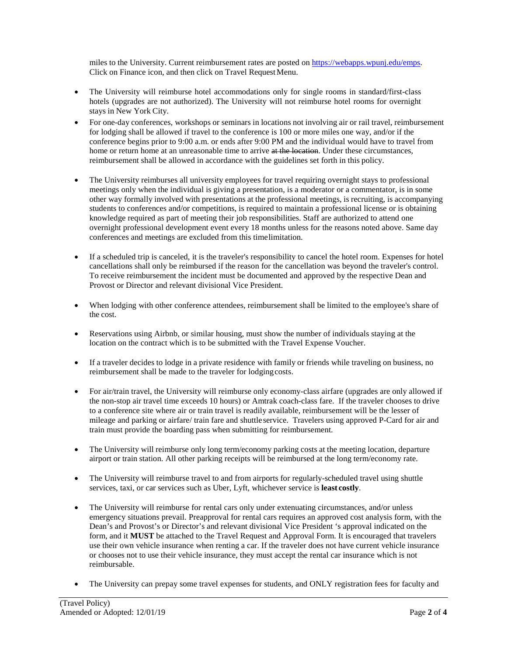miles to the University. Current reimbursement rates are posted o[n https://webapps.wpunj.edu/emps.](https://webapps.wpunj.edu/emps) Click on Finance icon, and then click on Travel RequestMenu.

- The University will reimburse hotel accommodations only for single rooms in standard/first-class hotels (upgrades are not authorized). The University will not reimburse hotel rooms for overnight stays in New York City.
- For one-day conferences, workshops or seminars in locations not involving air or rail travel, reimbursement for lodging shall be allowed if travel to the conference is 100 or more miles one way, and/or if the conference begins prior to 9:00 a.m. or ends after 9:00 PM and the individual would have to travel from home or return home at an unreasonable time to arrive at the location. Under these circumstances, reimbursement shall be allowed in accordance with the guidelines set forth in this policy.
- The University reimburses all university employees for travel requiring overnight stays to professional meetings only when the individual is giving a presentation, is a moderator or a commentator, is in some other way formally involved with presentations at the professional meetings, is recruiting, is accompanying students to conferences and/or competitions, is required to maintain a professional license or is obtaining knowledge required as part of meeting their job responsibilities. Staff are authorized to attend one overnight professional development event every 18 months unless for the reasons noted above. Same day conferences and meetings are excluded from this timelimitation.
- If a scheduled trip is canceled, it is the traveler's responsibility to cancel the hotel room. Expenses for hotel cancellations shall only be reimbursed if the reason for the cancellation was beyond the traveler's control. To receive reimbursement the incident must be documented and approved by the respective Dean and Provost or Director and relevant divisional Vice President.
- When lodging with other conference attendees, reimbursement shall be limited to the employee's share of the cost.
- Reservations using Airbnb, or similar housing, must show the number of individuals staying at the location on the contract which is to be submitted with the Travel Expense Voucher.
- If a traveler decides to lodge in a private residence with family or friends while traveling on business, no reimbursement shall be made to the traveler for lodgingcosts.
- For air/train travel, the University will reimburse only economy-class airfare (upgrades are only allowed if the non-stop air travel time exceeds 10 hours) or Amtrak coach-class fare. If the traveler chooses to drive to a conference site where air or train travel is readily available, reimbursement will be the lesser of mileage and parking or airfare/ train fare and shuttleservice. Travelers using approved P-Card for air and train must provide the boarding pass when submitting for reimbursement.
- The University will reimburse only long term/economy parking costs at the meeting location, departure airport or train station. All other parking receipts will be reimbursed at the long term/economy rate.
- The University will reimburse travel to and from airports for regularly-scheduled travel using shuttle services, taxi, or car services such as Uber, Lyft, whichever service is **least costly**.
- The University will reimburse for rental cars only under extenuating circumstances, and/or unless emergency situations prevail. Preapproval for rental cars requires an approved cost analysis form, with the Dean's and Provost's or Director's and relevant divisional Vice President 's approval indicated on the form, and it **MUST** be attached to the Travel Request and Approval Form. It is encouraged that travelers use their own vehicle insurance when renting a car. If the traveler does not have current vehicle insurance or chooses not to use their vehicle insurance, they must accept the rental car insurance which is not reimbursable.
- The University can prepay some travel expenses for students, and ONLY registration fees for faculty and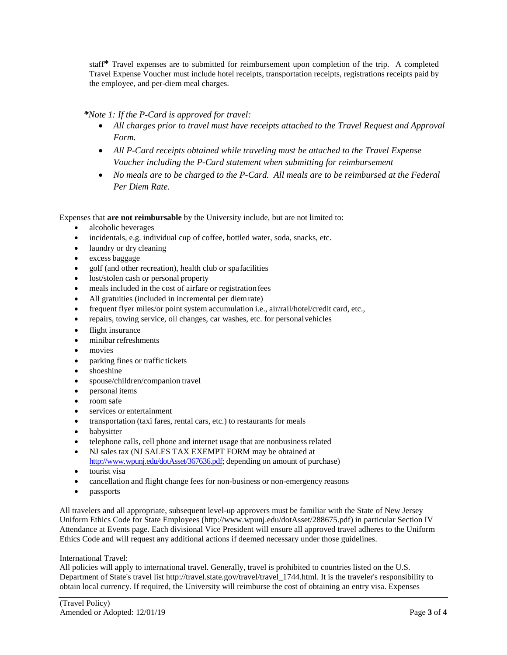staff**\*** Travel expenses are to submitted for reimbursement upon completion of the trip. A completed Travel Expense Voucher must include hotel receipts, transportation receipts, registrations receipts paid by the employee, and per-diem meal charges.

## *\*Note 1: If the P-Card is approved for travel:*

- *All charges prior to travel must have receipts attached to the Travel Request and Approval Form.*
- *All P-Card receipts obtained while traveling must be attached to the Travel Expense Voucher including the P-Card statement when submitting for reimbursement*
- *No meals are to be charged to the P-Card. All meals are to be reimbursed at the Federal Per Diem Rate.*

Expenses that **are not reimbursable** by the University include, but are not limited to:

- alcoholic beverages
- incidentals, e.g. individual cup of coffee, bottled water, soda, snacks, etc.
- laundry or dry cleaning
- excess baggage
- golf (and other recreation), health club or spafacilities
- lost/stolen cash or personal property
- meals included in the cost of airfare or registration fees
- All gratuities (included in incremental per diemrate)
- frequent flyer miles/or point system accumulation i.e., air/rail/hotel/credit card, etc.,
- repairs, towing service, oil changes, car washes, etc. for personalvehicles
- flight insurance
- minibar refreshments
- movies
- parking fines or traffic tickets
- shoeshine
- spouse/children/companion travel
- personal items
- room safe
- services or entertainment
- transportation (taxi fares, rental cars, etc.) to restaurants for meals
- babysitter
- telephone calls, cell phone and internet usage that are nonbusiness related
- NJ sales tax (NJ SALES TAX EXEMPT FORM may be obtained at [http://www.wpunj.edu/dotAsset/367636.pdf;](http://www.wpunj.edu/dotAsset/367636.pdf) depending on amount of purchase)
- tourist visa
- cancellation and flight change fees for non-business or non-emergency reasons
- passports

All travelers and all appropriate, subsequent level-up approvers must be familiar with the State of New Jersey Uniform Ethics Code for State Employees [\(http://www.wpunj.edu/dotAsset/288675.pdf\)](http://www.wpunj.edu/dotAsset/288675.pdf)) in particular Section IV Attendance at Events page. Each divisional Vice President will ensure all approved travel adheres to the Uniform Ethics Code and will request any additional actions if deemed necessary under those guidelines.

#### International Travel:

All policies will apply to international travel. Generally, travel is prohibited to countries listed on the U.S. Department of State's travel lis[t http://travel.state.gov/travel/travel\\_1744.html.](http://travel.state.gov/travel/travel_1744.html) It is the traveler's responsibility to obtain local currency. If required, the University will reimburse the cost of obtaining an entry visa. Expenses